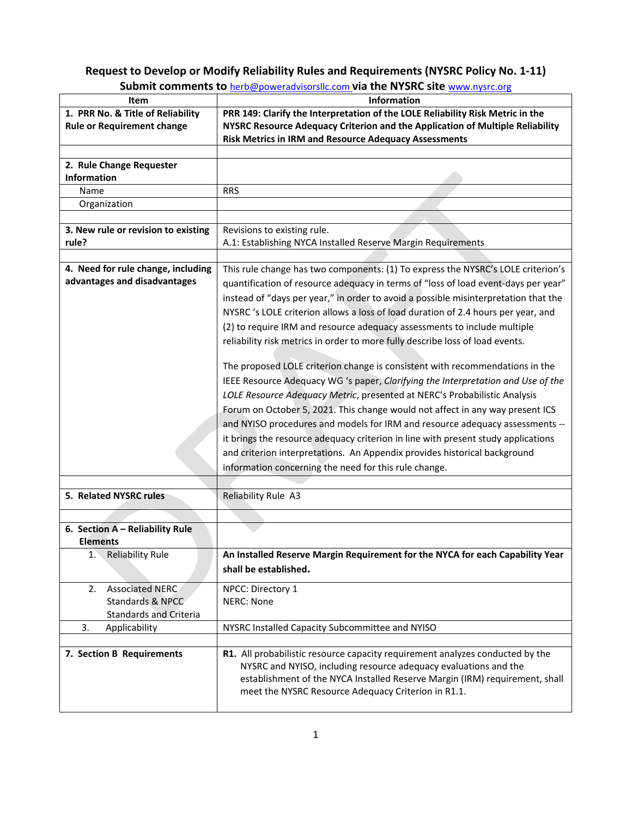## **Request to Develop or Modify Reliability Rules and Requirements (NYSRC Policy No. 1‐11)**

| Item                                | Information                                                                         |
|-------------------------------------|-------------------------------------------------------------------------------------|
| 1. PRR No. & Title of Reliability   | PRR 149: Clarify the Interpretation of the LOLE Reliability Risk Metric in the      |
| <b>Rule or Requirement change</b>   | NYSRC Resource Adequacy Criterion and the Application of Multiple Reliability       |
|                                     | <b>Risk Metrics in IRM and Resource Adequacy Assessments</b>                        |
|                                     |                                                                                     |
| 2. Rule Change Requester            |                                                                                     |
| <b>Information</b>                  |                                                                                     |
| Name                                | <b>RRS</b>                                                                          |
| Organization                        |                                                                                     |
|                                     |                                                                                     |
| 3. New rule or revision to existing | Revisions to existing rule.                                                         |
| rule?                               | A.1: Establishing NYCA Installed Reserve Margin Requirements                        |
|                                     |                                                                                     |
| 4. Need for rule change, including  | This rule change has two components: (1) To express the NYSRC's LOLE criterion's    |
| advantages and disadvantages        | quantification of resource adequacy in terms of "loss of load event-days per year"  |
|                                     | instead of "days per year," in order to avoid a possible misinterpretation that the |
|                                     |                                                                                     |
|                                     | NYSRC 's LOLE criterion allows a loss of load duration of 2.4 hours per year, and   |
|                                     | (2) to require IRM and resource adequacy assessments to include multiple            |
|                                     | reliability risk metrics in order to more fully describe loss of load events.       |
|                                     |                                                                                     |
|                                     | The proposed LOLE criterion change is consistent with recommendations in the        |
|                                     | IEEE Resource Adequacy WG 's paper, Clarifying the Interpretation and Use of the    |
|                                     | LOLE Resource Adequacy Metric, presented at NERC's Probabilistic Analysis           |
|                                     | Forum on October 5, 2021. This change would not affect in any way present ICS       |
|                                     | and NYISO procedures and models for IRM and resource adequacy assessments --        |
|                                     | it brings the resource adequacy criterion in line with present study applications   |
|                                     | and criterion interpretations. An Appendix provides historical background           |
|                                     |                                                                                     |
|                                     | information concerning the need for this rule change.                               |
|                                     |                                                                                     |
| 5. Related NYSRC rules              | Reliability Rule A3                                                                 |
|                                     |                                                                                     |
| 6. Section A - Reliability Rule     |                                                                                     |
| <b>Elements</b>                     |                                                                                     |
| Reliability Rule<br>1.              | An Installed Reserve Margin Requirement for the NYCA for each Capability Year       |
|                                     | shall be established.                                                               |
|                                     |                                                                                     |
| <b>Associated NERC</b><br>2.        | NPCC: Directory 1                                                                   |
| Standards & NPCC                    | <b>NERC: None</b>                                                                   |
| <b>Standards and Criteria</b>       |                                                                                     |
| 3.<br>Applicability                 | NYSRC Installed Capacity Subcommittee and NYISO                                     |
|                                     |                                                                                     |
| 7. Section B Requirements           | R1. All probabilistic resource capacity requirement analyzes conducted by the       |
|                                     | NYSRC and NYISO, including resource adequacy evaluations and the                    |
|                                     | establishment of the NYCA Installed Reserve Margin (IRM) requirement, shall         |
|                                     | meet the NYSRC Resource Adequacy Criterion in R1.1.                                 |
|                                     |                                                                                     |

**Submit comments to** herb@poweradvisorsllc.com **via the NYSRC site** www.nysrc.org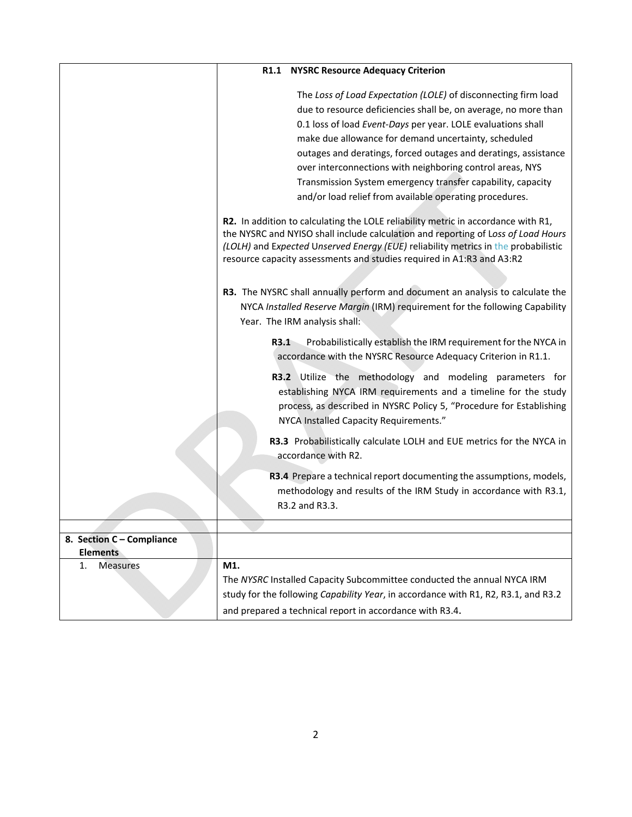|                                              | <b>R1.1 NYSRC Resource Adequacy Criterion</b>                                                                                                                                                                                                                                                                                                                                                                                                                                                                       |
|----------------------------------------------|---------------------------------------------------------------------------------------------------------------------------------------------------------------------------------------------------------------------------------------------------------------------------------------------------------------------------------------------------------------------------------------------------------------------------------------------------------------------------------------------------------------------|
|                                              | The Loss of Load Expectation (LOLE) of disconnecting firm load<br>due to resource deficiencies shall be, on average, no more than<br>0.1 loss of load Event-Days per year. LOLE evaluations shall<br>make due allowance for demand uncertainty, scheduled<br>outages and deratings, forced outages and deratings, assistance<br>over interconnections with neighboring control areas, NYS<br>Transmission System emergency transfer capability, capacity<br>and/or load relief from available operating procedures. |
|                                              | R2. In addition to calculating the LOLE reliability metric in accordance with R1,<br>the NYSRC and NYISO shall include calculation and reporting of Loss of Load Hours<br>(LOLH) and Expected Unserved Energy (EUE) reliability metrics in the probabilistic<br>resource capacity assessments and studies required in A1:R3 and A3:R2                                                                                                                                                                               |
|                                              | R3. The NYSRC shall annually perform and document an analysis to calculate the<br>NYCA Installed Reserve Margin (IRM) requirement for the following Capability<br>Year. The IRM analysis shall:                                                                                                                                                                                                                                                                                                                     |
|                                              | R3.1<br>Probabilistically establish the IRM requirement for the NYCA in<br>accordance with the NYSRC Resource Adequacy Criterion in R1.1.                                                                                                                                                                                                                                                                                                                                                                           |
|                                              | R3.2 Utilize the methodology and modeling parameters for<br>establishing NYCA IRM requirements and a timeline for the study<br>process, as described in NYSRC Policy 5, "Procedure for Establishing<br>NYCA Installed Capacity Requirements."                                                                                                                                                                                                                                                                       |
|                                              | R3.3 Probabilistically calculate LOLH and EUE metrics for the NYCA in<br>accordance with R2.                                                                                                                                                                                                                                                                                                                                                                                                                        |
|                                              | R3.4 Prepare a technical report documenting the assumptions, models,<br>methodology and results of the IRM Study in accordance with R3.1,<br>R3.2 and R3.3.                                                                                                                                                                                                                                                                                                                                                         |
|                                              |                                                                                                                                                                                                                                                                                                                                                                                                                                                                                                                     |
| 8. Section C - Compliance<br><b>Elements</b> |                                                                                                                                                                                                                                                                                                                                                                                                                                                                                                                     |
| <b>Measures</b><br>1.                        | M1.<br>The NYSRC Installed Capacity Subcommittee conducted the annual NYCA IRM<br>study for the following Capability Year, in accordance with R1, R2, R3.1, and R3.2<br>and prepared a technical report in accordance with R3.4.                                                                                                                                                                                                                                                                                    |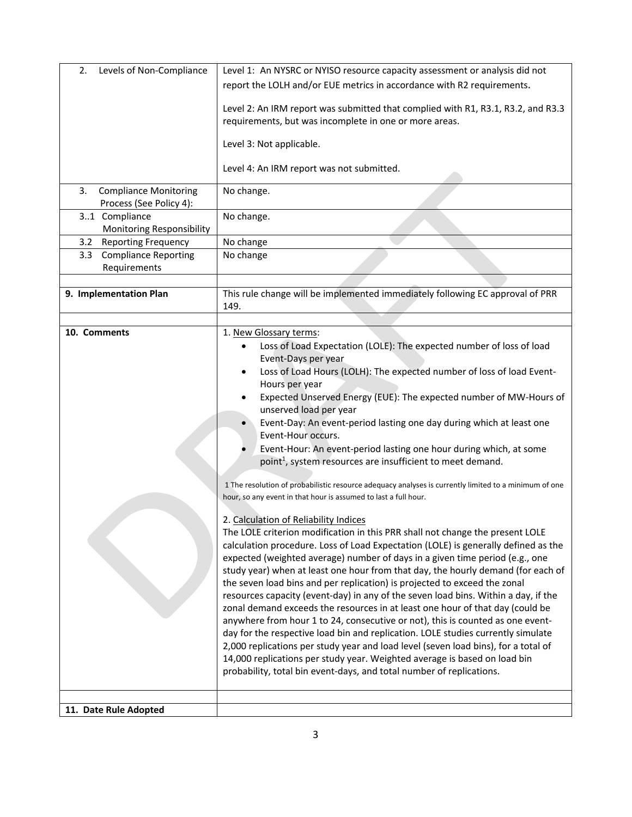| Levels of Non-Compliance<br>2.                                 | Level 1: An NYSRC or NYISO resource capacity assessment or analysis did not                                                                                                                                                                                                                                                                                                                                                                                                                                                                                                                                                                                                                                                                                                                                                                                                                                                                                                                                                                                                                                                                                                                                                                                                                                                                                                                                                                                                                                                                                                                                                                                                                                                                                                                                      |
|----------------------------------------------------------------|------------------------------------------------------------------------------------------------------------------------------------------------------------------------------------------------------------------------------------------------------------------------------------------------------------------------------------------------------------------------------------------------------------------------------------------------------------------------------------------------------------------------------------------------------------------------------------------------------------------------------------------------------------------------------------------------------------------------------------------------------------------------------------------------------------------------------------------------------------------------------------------------------------------------------------------------------------------------------------------------------------------------------------------------------------------------------------------------------------------------------------------------------------------------------------------------------------------------------------------------------------------------------------------------------------------------------------------------------------------------------------------------------------------------------------------------------------------------------------------------------------------------------------------------------------------------------------------------------------------------------------------------------------------------------------------------------------------------------------------------------------------------------------------------------------------|
|                                                                | report the LOLH and/or EUE metrics in accordance with R2 requirements.                                                                                                                                                                                                                                                                                                                                                                                                                                                                                                                                                                                                                                                                                                                                                                                                                                                                                                                                                                                                                                                                                                                                                                                                                                                                                                                                                                                                                                                                                                                                                                                                                                                                                                                                           |
|                                                                | Level 2: An IRM report was submitted that complied with R1, R3.1, R3.2, and R3.3<br>requirements, but was incomplete in one or more areas.                                                                                                                                                                                                                                                                                                                                                                                                                                                                                                                                                                                                                                                                                                                                                                                                                                                                                                                                                                                                                                                                                                                                                                                                                                                                                                                                                                                                                                                                                                                                                                                                                                                                       |
|                                                                | Level 3: Not applicable.                                                                                                                                                                                                                                                                                                                                                                                                                                                                                                                                                                                                                                                                                                                                                                                                                                                                                                                                                                                                                                                                                                                                                                                                                                                                                                                                                                                                                                                                                                                                                                                                                                                                                                                                                                                         |
|                                                                | Level 4: An IRM report was not submitted.                                                                                                                                                                                                                                                                                                                                                                                                                                                                                                                                                                                                                                                                                                                                                                                                                                                                                                                                                                                                                                                                                                                                                                                                                                                                                                                                                                                                                                                                                                                                                                                                                                                                                                                                                                        |
| <b>Compliance Monitoring</b><br>3.<br>Process (See Policy 4):  | No change.                                                                                                                                                                                                                                                                                                                                                                                                                                                                                                                                                                                                                                                                                                                                                                                                                                                                                                                                                                                                                                                                                                                                                                                                                                                                                                                                                                                                                                                                                                                                                                                                                                                                                                                                                                                                       |
| 31 Compliance                                                  | No change.                                                                                                                                                                                                                                                                                                                                                                                                                                                                                                                                                                                                                                                                                                                                                                                                                                                                                                                                                                                                                                                                                                                                                                                                                                                                                                                                                                                                                                                                                                                                                                                                                                                                                                                                                                                                       |
| Monitoring Responsibility<br><b>Reporting Frequency</b><br>3.2 | No change                                                                                                                                                                                                                                                                                                                                                                                                                                                                                                                                                                                                                                                                                                                                                                                                                                                                                                                                                                                                                                                                                                                                                                                                                                                                                                                                                                                                                                                                                                                                                                                                                                                                                                                                                                                                        |
| <b>Compliance Reporting</b><br>3.3                             | No change                                                                                                                                                                                                                                                                                                                                                                                                                                                                                                                                                                                                                                                                                                                                                                                                                                                                                                                                                                                                                                                                                                                                                                                                                                                                                                                                                                                                                                                                                                                                                                                                                                                                                                                                                                                                        |
| Requirements                                                   |                                                                                                                                                                                                                                                                                                                                                                                                                                                                                                                                                                                                                                                                                                                                                                                                                                                                                                                                                                                                                                                                                                                                                                                                                                                                                                                                                                                                                                                                                                                                                                                                                                                                                                                                                                                                                  |
|                                                                |                                                                                                                                                                                                                                                                                                                                                                                                                                                                                                                                                                                                                                                                                                                                                                                                                                                                                                                                                                                                                                                                                                                                                                                                                                                                                                                                                                                                                                                                                                                                                                                                                                                                                                                                                                                                                  |
| 9. Implementation Plan                                         | This rule change will be implemented immediately following EC approval of PRR<br>149.                                                                                                                                                                                                                                                                                                                                                                                                                                                                                                                                                                                                                                                                                                                                                                                                                                                                                                                                                                                                                                                                                                                                                                                                                                                                                                                                                                                                                                                                                                                                                                                                                                                                                                                            |
|                                                                |                                                                                                                                                                                                                                                                                                                                                                                                                                                                                                                                                                                                                                                                                                                                                                                                                                                                                                                                                                                                                                                                                                                                                                                                                                                                                                                                                                                                                                                                                                                                                                                                                                                                                                                                                                                                                  |
| 10. Comments                                                   | 1. New Glossary terms:<br>Loss of Load Expectation (LOLE): The expected number of loss of load<br>Event-Days per year<br>Loss of Load Hours (LOLH): The expected number of loss of load Event-<br>$\bullet$<br>Hours per year<br>Expected Unserved Energy (EUE): The expected number of MW-Hours of<br>unserved load per year<br>Event-Day: An event-period lasting one day during which at least one<br>Event-Hour occurs.<br>Event-Hour: An event-period lasting one hour during which, at some<br>point <sup>1</sup> , system resources are insufficient to meet demand.<br>1 The resolution of probabilistic resource adequacy analyses is currently limited to a minimum of one<br>hour, so any event in that hour is assumed to last a full hour.<br>2. Calculation of Reliability Indices<br>The LOLE criterion modification in this PRR shall not change the present LOLE<br>calculation procedure. Loss of Load Expectation (LOLE) is generally defined as the<br>expected (weighted average) number of days in a given time period (e.g., one<br>study year) when at least one hour from that day, the hourly demand (for each of<br>the seven load bins and per replication) is projected to exceed the zonal<br>resources capacity (event-day) in any of the seven load bins. Within a day, if the<br>zonal demand exceeds the resources in at least one hour of that day (could be<br>anywhere from hour 1 to 24, consecutive or not), this is counted as one event-<br>day for the respective load bin and replication. LOLE studies currently simulate<br>2,000 replications per study year and load level (seven load bins), for a total of<br>14,000 replications per study year. Weighted average is based on load bin<br>probability, total bin event-days, and total number of replications. |
|                                                                |                                                                                                                                                                                                                                                                                                                                                                                                                                                                                                                                                                                                                                                                                                                                                                                                                                                                                                                                                                                                                                                                                                                                                                                                                                                                                                                                                                                                                                                                                                                                                                                                                                                                                                                                                                                                                  |
| 11. Date Rule Adopted                                          |                                                                                                                                                                                                                                                                                                                                                                                                                                                                                                                                                                                                                                                                                                                                                                                                                                                                                                                                                                                                                                                                                                                                                                                                                                                                                                                                                                                                                                                                                                                                                                                                                                                                                                                                                                                                                  |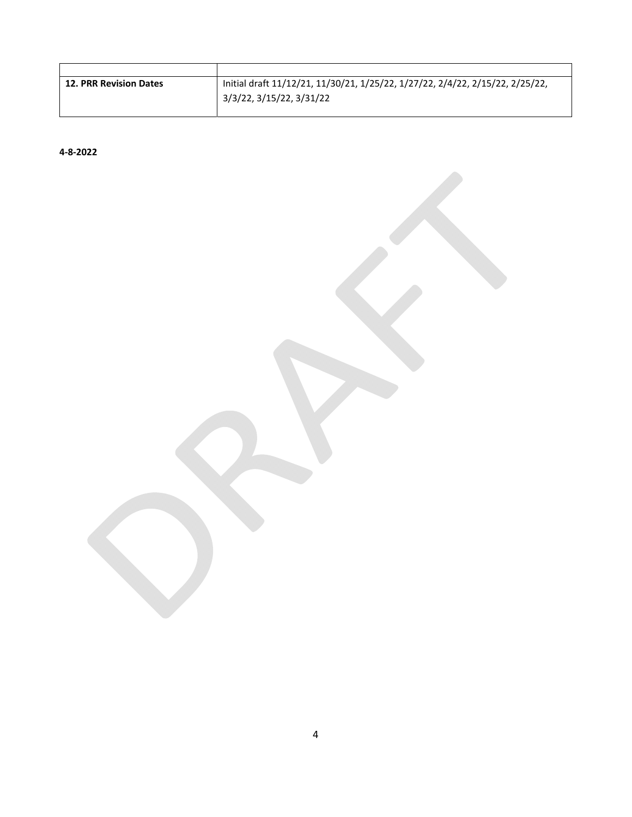| <b>12. PRR Revision Dates</b> | Initial draft 11/12/21, 11/30/21, 1/25/22, 1/27/22, 2/4/22, 2/15/22, 2/25/22, |
|-------------------------------|-------------------------------------------------------------------------------|
|                               | 3/3/22, 3/15/22, 3/31/22                                                      |

**4‐8‐2022**